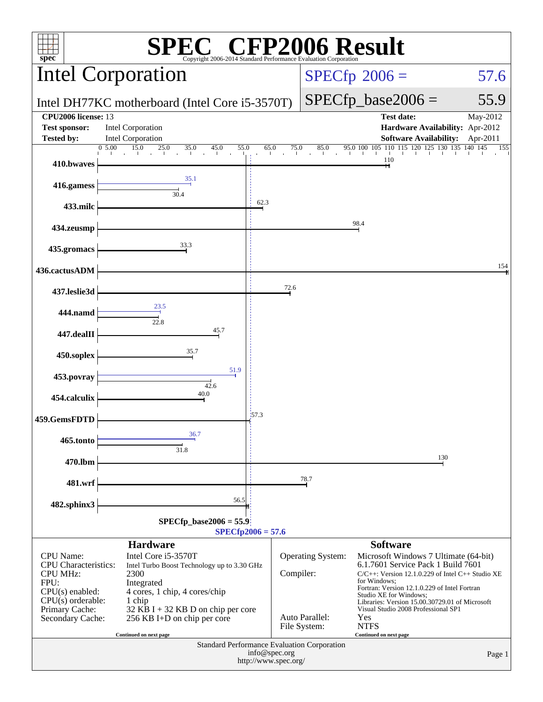| $\mathbb{C}^{\scriptscriptstyle \otimes}$ CFP2006 Result<br>$spec*$<br>Copyright 2006-2014 Standard Performance Evaluation Corporation                |                                                                                                                                                                                                            |                                                                                      |                                                                         |                                                                                                                                                                                                                                                                                                                                               |                      |  |  |
|-------------------------------------------------------------------------------------------------------------------------------------------------------|------------------------------------------------------------------------------------------------------------------------------------------------------------------------------------------------------------|--------------------------------------------------------------------------------------|-------------------------------------------------------------------------|-----------------------------------------------------------------------------------------------------------------------------------------------------------------------------------------------------------------------------------------------------------------------------------------------------------------------------------------------|----------------------|--|--|
|                                                                                                                                                       | <b>Intel Corporation</b>                                                                                                                                                                                   |                                                                                      |                                                                         | $SPECfp^{\circ}2006 =$                                                                                                                                                                                                                                                                                                                        | 57.6                 |  |  |
|                                                                                                                                                       | Intel DH77KC motherboard (Intel Core i5-3570T)                                                                                                                                                             |                                                                                      |                                                                         | $SPECfp\_base2006 =$                                                                                                                                                                                                                                                                                                                          | 55.9                 |  |  |
| <b>CPU2006</b> license: 13<br><b>Test sponsor:</b><br><b>Tested by:</b>                                                                               | Intel Corporation<br>Intel Corporation                                                                                                                                                                     |                                                                                      |                                                                         | <b>Test date:</b><br>Hardware Availability: Apr-2012<br><b>Software Availability:</b>                                                                                                                                                                                                                                                         | May-2012<br>Apr-2011 |  |  |
| 410.bwaves                                                                                                                                            | 05.00<br>15.0<br>$\frac{25.0}{1}$<br>35.0<br>45.0<br>55.0<br>$\sim 10$<br><b>College</b><br>$\sim 10^{-1}$<br><b>The Card</b>                                                                              | 65.0<br>75.0                                                                         | 85.0<br>the control of the con-<br>$-1$                                 | 95.0 100 105 110 115 120 125 130 135 140 145<br>110                                                                                                                                                                                                                                                                                           | 155                  |  |  |
| 416.gamess                                                                                                                                            | 35.1                                                                                                                                                                                                       |                                                                                      |                                                                         |                                                                                                                                                                                                                                                                                                                                               |                      |  |  |
| 433.milc                                                                                                                                              | 30.4                                                                                                                                                                                                       | 62.3                                                                                 |                                                                         |                                                                                                                                                                                                                                                                                                                                               |                      |  |  |
| 434.zeusmp                                                                                                                                            |                                                                                                                                                                                                            |                                                                                      |                                                                         | 98.4                                                                                                                                                                                                                                                                                                                                          |                      |  |  |
| 435.gromacs                                                                                                                                           | 33.3                                                                                                                                                                                                       |                                                                                      |                                                                         |                                                                                                                                                                                                                                                                                                                                               |                      |  |  |
| 436.cactusADM                                                                                                                                         |                                                                                                                                                                                                            |                                                                                      |                                                                         |                                                                                                                                                                                                                                                                                                                                               | 154                  |  |  |
| 437.leslie3d                                                                                                                                          |                                                                                                                                                                                                            | 72.6                                                                                 |                                                                         |                                                                                                                                                                                                                                                                                                                                               |                      |  |  |
| 444.namd                                                                                                                                              | 23.5<br>22.8                                                                                                                                                                                               |                                                                                      |                                                                         |                                                                                                                                                                                                                                                                                                                                               |                      |  |  |
| 447.dealII                                                                                                                                            | 45.7                                                                                                                                                                                                       |                                                                                      |                                                                         |                                                                                                                                                                                                                                                                                                                                               |                      |  |  |
| 450.soplex                                                                                                                                            | 35.7<br>51.9                                                                                                                                                                                               |                                                                                      |                                                                         |                                                                                                                                                                                                                                                                                                                                               |                      |  |  |
| 453.povray                                                                                                                                            | 42.6<br>40.0                                                                                                                                                                                               |                                                                                      |                                                                         |                                                                                                                                                                                                                                                                                                                                               |                      |  |  |
| 454.calculix                                                                                                                                          |                                                                                                                                                                                                            | 157.3                                                                                |                                                                         |                                                                                                                                                                                                                                                                                                                                               |                      |  |  |
| 459.GemsFDTD                                                                                                                                          | 36.7                                                                                                                                                                                                       |                                                                                      |                                                                         |                                                                                                                                                                                                                                                                                                                                               |                      |  |  |
| 465.tonto                                                                                                                                             | 31.8                                                                                                                                                                                                       |                                                                                      |                                                                         | 130                                                                                                                                                                                                                                                                                                                                           |                      |  |  |
| 470.lbm<br>481.wrf                                                                                                                                    |                                                                                                                                                                                                            |                                                                                      | 78.7                                                                    |                                                                                                                                                                                                                                                                                                                                               |                      |  |  |
| 482.sphinx3                                                                                                                                           | 56.5                                                                                                                                                                                                       |                                                                                      |                                                                         |                                                                                                                                                                                                                                                                                                                                               |                      |  |  |
| $SPECfp\_base2006 = 55.9$<br>$SPECfp2006 = 57.6$                                                                                                      |                                                                                                                                                                                                            |                                                                                      |                                                                         |                                                                                                                                                                                                                                                                                                                                               |                      |  |  |
|                                                                                                                                                       | <b>Hardware</b>                                                                                                                                                                                            |                                                                                      |                                                                         | <b>Software</b>                                                                                                                                                                                                                                                                                                                               |                      |  |  |
| <b>CPU</b> Name:<br>CPU Characteristics:<br><b>CPU MHz:</b><br>FPU:<br>$CPU(s)$ enabled:<br>$CPU(s)$ orderable:<br>Primary Cache:<br>Secondary Cache: | Intel Core i5-3570T<br>Intel Turbo Boost Technology up to 3.30 GHz<br>2300<br>Integrated<br>4 cores, 1 chip, 4 cores/chip<br>1 chip<br>$32$ KB I + 32 KB D on chip per core<br>256 KB I+D on chip per core |                                                                                      | <b>Operating System:</b><br>Compiler:<br>Auto Parallel:<br>File System: | Microsoft Windows 7 Ultimate (64-bit)<br>6.1.7601 Service Pack 1 Build 7601<br>$C/C++$ : Version 12.1.0.229 of Intel $C++$ Studio XE<br>for Windows:<br>Fortran: Version 12.1.0.229 of Intel Fortran<br>Studio XE for Windows;<br>Libraries: Version 15.00.30729.01 of Microsoft<br>Visual Studio 2008 Professional SP1<br>Yes<br><b>NTFS</b> |                      |  |  |
|                                                                                                                                                       | Continued on next page                                                                                                                                                                                     | Standard Performance Evaluation Corporation<br>info@spec.org<br>http://www.spec.org/ |                                                                         | Continued on next page                                                                                                                                                                                                                                                                                                                        | Page 1               |  |  |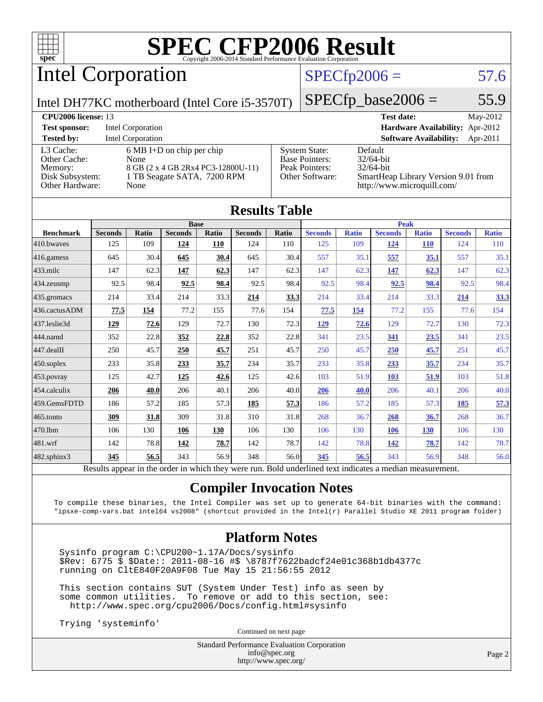

# Intel Corporation

### $SPECfp2006 = 57.6$  $SPECfp2006 = 57.6$

Intel DH77KC motherboard (Intel Core i5-3570T)

 $SPECTp\_base2006 = 55.9$ 

| <b>CPU<sub>2006</sub></b> license: 13 |                                     |                       | May-2012<br><b>Test date:</b>             |
|---------------------------------------|-------------------------------------|-----------------------|-------------------------------------------|
| <b>Test sponsor:</b>                  | Intel Corporation                   |                       | <b>Hardware Availability:</b> Apr-2012    |
| <b>Tested by:</b>                     | <b>Intel Corporation</b>            |                       | <b>Software Availability:</b><br>Apr-2011 |
| L3 Cache:                             | $6 \text{ MB I+D}$ on chip per chip | <b>System State:</b>  | Default                                   |
| Other Cache:                          | None                                | <b>Base Pointers:</b> | $32/64$ -bit                              |
| Memory:                               | 8 GB (2 x 4 GB 2Rx4 PC3-12800U-11)  | Peak Pointers:        | $32/64$ -bit                              |
| Disk Subsystem:                       | 1 TB Seagate SATA, 7200 RPM         | Other Software:       | SmartHeap Library Version 9.01 from       |
| Other Hardware:                       | None                                |                       | http://www.microquill.com/                |

| <b>Results Table</b>                                                                                     |                |              |                |       |                |       |                |              |                |              |                |              |
|----------------------------------------------------------------------------------------------------------|----------------|--------------|----------------|-------|----------------|-------|----------------|--------------|----------------|--------------|----------------|--------------|
|                                                                                                          |                | <b>Base</b>  |                |       |                |       | <b>Peak</b>    |              |                |              |                |              |
| <b>Benchmark</b>                                                                                         | <b>Seconds</b> | <b>Ratio</b> | <b>Seconds</b> | Ratio | <b>Seconds</b> | Ratio | <b>Seconds</b> | <b>Ratio</b> | <b>Seconds</b> | <b>Ratio</b> | <b>Seconds</b> | <b>Ratio</b> |
| 410.bwayes                                                                                               | 125            | 109          | 124            | 110   | 124            | 110   | 125            | 109          | 124            | <b>110</b>   | 124            | 110          |
| 416.gamess                                                                                               | 645            | 30.4         | 645            | 30.4  | 645            | 30.4  | 557            | 35.1         | 557            | 35.1         | 557            | 35.1         |
| $433$ .milc                                                                                              | 147            | 62.3         | 147            | 62.3  | 147            | 62.3  | 147            | 62.3         | 147            | 62.3         | 147            | 62.3         |
| 434.zeusmp                                                                                               | 92.5           | 98.4         | 92.5           | 98.4  | 92.5           | 98.4  | 92.5           | 98.4         | 92.5           | 98.4         | 92.5           | 98.4         |
| 435.gromacs                                                                                              | 214            | 33.4         | 214            | 33.3  | 214            | 33.3  | 214            | 33.4         | 214            | 33.3         | 214            | 33.3         |
| 436.cactusADM                                                                                            | 77.5           | 154          | 77.2           | 155   | 77.6           | 154   | 77.5           | 154          | 77.2           | 155          | 77.6           | 154          |
| 437.leslie3d                                                                                             | 129            | 72.6         | 129            | 72.7  | 130            | 72.3  | <u>129</u>     | 72.6         | 129            | 72.7         | 130            | 72.3         |
| 444.namd                                                                                                 | 352            | 22.8         | 352            | 22.8  | 352            | 22.8  | 341            | 23.5         | 341            | 23.5         | 341            | 23.5         |
| $447$ .dealII                                                                                            | 250            | 45.7         | 250            | 45.7  | 251            | 45.7  | 250            | 45.7         | <b>250</b>     | 45.7         | 251            | 45.7         |
| $450$ .soplex                                                                                            | 233            | 35.8         | 233            | 35.7  | 234            | 35.7  | 233            | 35.8         | 233            | 35.7         | 234            | 35.7         |
| $453$ .povray                                                                                            | 125            | 42.7         | 125            | 42.6  | 125            | 42.6  | 103            | 51.9         | <b>103</b>     | 51.9         | 103            | 51.8         |
| 454.calculix                                                                                             | 206            | 40.0         | 206            | 40.1  | 206            | 40.0  | 206            | 40.0         | 206            | 40.1         | 206            | 40.0         |
| 459.GemsFDTD                                                                                             | 186            | 57.2         | 185            | 57.3  | 185            | 57.3  | 186            | 57.2         | 185            | 57.3         | 185            | 57.3         |
| 465.tonto                                                                                                | 309            | 31.8         | 309            | 31.8  | 310            | 31.8  | 268            | 36.7         | 268            | 36.7         | 268            | 36.7         |
| 470.1bm                                                                                                  | 106            | 130          | 106            | 130   | 106            | 130   | 106            | 130          | <b>106</b>     | <b>130</b>   | 106            | 130          |
| 481.wrf                                                                                                  | 142            | 78.8         | 142            | 78.7  | 142            | 78.7  | 142            | 78.8         | 142            | 78.7         | 142            | 78.7         |
| $482$ .sphinx $3$                                                                                        | 345            | 56.5         | 343            | 56.9  | 348            | 56.0  | 345            | 56.5         | 343            | 56.9         | 348            | 56.0         |
| Results appear in the order in which they were run. Bold underlined text indicates a median measurement. |                |              |                |       |                |       |                |              |                |              |                |              |

### **[Compiler Invocation Notes](http://www.spec.org/auto/cpu2006/Docs/result-fields.html#CompilerInvocationNotes)**

To compile these binaries, the Intel Compiler was set up to generate 64-bit binaries with the command: "ipsxe-comp-vars.bat intel64 vs2008" (shortcut provided in the Intel(r) Parallel Studio XE 2011 program folder)

### **[Platform Notes](http://www.spec.org/auto/cpu2006/Docs/result-fields.html#PlatformNotes)**

 Sysinfo program C:\CPU200~1.17A/Docs/sysinfo \$Rev: 6775 \$ \$Date:: 2011-08-16 #\$ \8787f7622badcf24e01c368b1db4377c running on CltE840F20A9F08 Tue May 15 21:56:55 2012

 This section contains SUT (System Under Test) info as seen by some common utilities. To remove or add to this section, see: <http://www.spec.org/cpu2006/Docs/config.html#sysinfo>

Trying 'systeminfo'

Continued on next page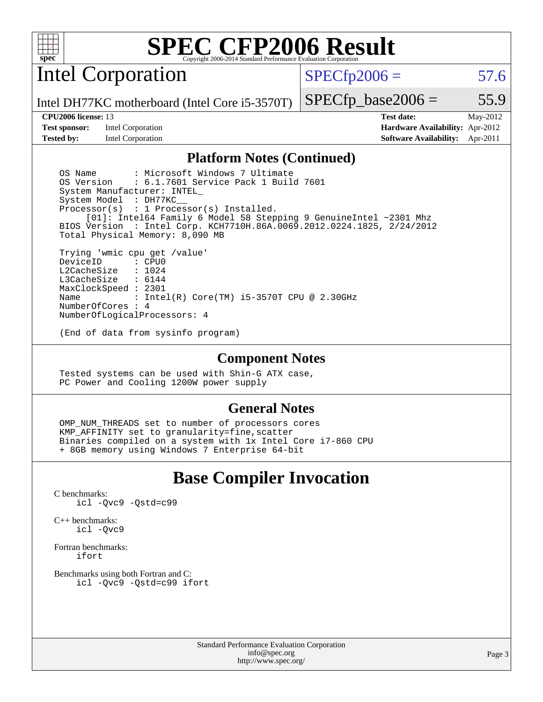

Intel Corporation

 $SPECfp2006 = 57.6$  $SPECfp2006 = 57.6$ 

Intel DH77KC motherboard (Intel Core i5-3570T)

#### **[CPU2006 license:](http://www.spec.org/auto/cpu2006/Docs/result-fields.html#CPU2006license)** 13 **[Test date:](http://www.spec.org/auto/cpu2006/Docs/result-fields.html#Testdate)** May-2012

**[Test sponsor:](http://www.spec.org/auto/cpu2006/Docs/result-fields.html#Testsponsor)** Intel Corporation **[Hardware Availability:](http://www.spec.org/auto/cpu2006/Docs/result-fields.html#HardwareAvailability)** Apr-2012

 $SPECTp\_base2006 = 55.9$ 

**[Tested by:](http://www.spec.org/auto/cpu2006/Docs/result-fields.html#Testedby)** Intel Corporation **[Software Availability:](http://www.spec.org/auto/cpu2006/Docs/result-fields.html#SoftwareAvailability)** Apr-2011

### **[Platform Notes \(Continued\)](http://www.spec.org/auto/cpu2006/Docs/result-fields.html#PlatformNotes)**

OS Name : Microsoft Windows 7 Ultimate<br>OS Version : 6.1.7601 Service Pack 1 Buil : 6.1.7601 Service Pack 1 Build 7601 System Manufacturer: INTEL\_ System Model : DH77KC\_\_ Processor(s) : 1 Processor(s) Installed. [01]: Intel64 Family 6 Model 58 Stepping 9 GenuineIntel ~2301 Mhz BIOS Version : Intel Corp. KCH7710H.86A.0069.2012.0224.1825, 2/24/2012 Total Physical Memory: 8,090 MB Trying 'wmic cpu get /value' DeviceID L2CacheSize : 1024<br>T3CacheSize : 6144 L3CacheSize

 MaxClockSpeed : 2301 Name : Intel(R) Core(TM) i5-3570T CPU @ 2.30GHz NumberOfCores : 4 NumberOfLogicalProcessors: 4

(End of data from sysinfo program)

#### **[Component Notes](http://www.spec.org/auto/cpu2006/Docs/result-fields.html#ComponentNotes)**

 Tested systems can be used with Shin-G ATX case, PC Power and Cooling 1200W power supply

### **[General Notes](http://www.spec.org/auto/cpu2006/Docs/result-fields.html#GeneralNotes)**

OMP NUM THREADS set to number of processors cores KMP\_AFFINITY set to granularity=fine,scatter Binaries compiled on a system with 1x Intel Core i7-860 CPU + 8GB memory using Windows 7 Enterprise 64-bit

## **[Base Compiler Invocation](http://www.spec.org/auto/cpu2006/Docs/result-fields.html#BaseCompilerInvocation)**

[C benchmarks](http://www.spec.org/auto/cpu2006/Docs/result-fields.html#Cbenchmarks): [icl -Qvc9](http://www.spec.org/cpu2006/results/res2012q3/cpu2006-20120702-23386.flags.html#user_CCbase_intel_icc_vc9_6b5741b4033b9dc48df324263d9561bc) [-Qstd=c99](http://www.spec.org/cpu2006/results/res2012q3/cpu2006-20120702-23386.flags.html#user_CCbase_intel_compiler_c99_mode_1a3d110e3041b3ad4466830521bdad2a)

[C++ benchmarks:](http://www.spec.org/auto/cpu2006/Docs/result-fields.html#CXXbenchmarks) [icl -Qvc9](http://www.spec.org/cpu2006/results/res2012q3/cpu2006-20120702-23386.flags.html#user_CXXbase_intel_icc_vc9_6b5741b4033b9dc48df324263d9561bc)

[Fortran benchmarks](http://www.spec.org/auto/cpu2006/Docs/result-fields.html#Fortranbenchmarks): [ifort](http://www.spec.org/cpu2006/results/res2012q3/cpu2006-20120702-23386.flags.html#user_FCbase_intel_ifort_8a5e5e06b19a251bdeaf8fdab5d62f20)

[Benchmarks using both Fortran and C](http://www.spec.org/auto/cpu2006/Docs/result-fields.html#BenchmarksusingbothFortranandC): [icl -Qvc9](http://www.spec.org/cpu2006/results/res2012q3/cpu2006-20120702-23386.flags.html#user_CC_FCbase_intel_icc_vc9_6b5741b4033b9dc48df324263d9561bc) [-Qstd=c99](http://www.spec.org/cpu2006/results/res2012q3/cpu2006-20120702-23386.flags.html#user_CC_FCbase_intel_compiler_c99_mode_1a3d110e3041b3ad4466830521bdad2a) [ifort](http://www.spec.org/cpu2006/results/res2012q3/cpu2006-20120702-23386.flags.html#user_CC_FCbase_intel_ifort_8a5e5e06b19a251bdeaf8fdab5d62f20)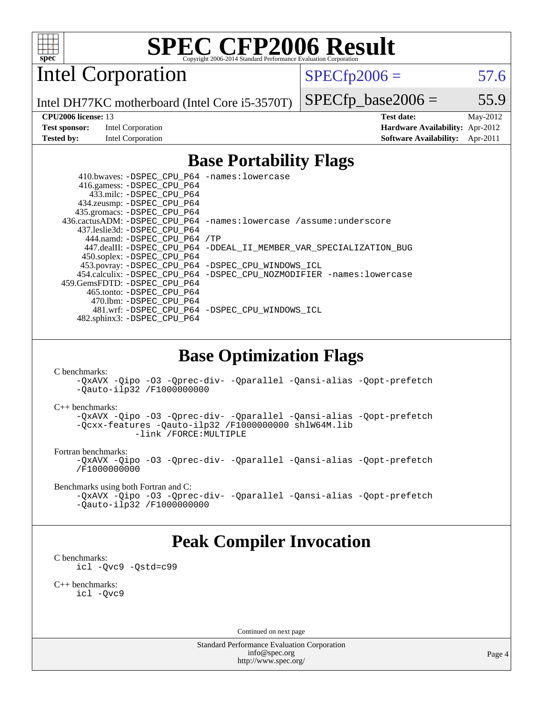

Intel Corporation

 $SPECfp2006 = 57.6$  $SPECfp2006 = 57.6$ 

Intel DH77KC motherboard (Intel Core i5-3570T)

 $SPECTp\_base2006 = 55.9$ 

**[CPU2006 license:](http://www.spec.org/auto/cpu2006/Docs/result-fields.html#CPU2006license)** 13 **[Test date:](http://www.spec.org/auto/cpu2006/Docs/result-fields.html#Testdate)** May-2012 **[Test sponsor:](http://www.spec.org/auto/cpu2006/Docs/result-fields.html#Testsponsor)** Intel Corporation **[Hardware Availability:](http://www.spec.org/auto/cpu2006/Docs/result-fields.html#HardwareAvailability)** Apr-2012 **[Tested by:](http://www.spec.org/auto/cpu2006/Docs/result-fields.html#Testedby)** Intel Corporation **[Software Availability:](http://www.spec.org/auto/cpu2006/Docs/result-fields.html#SoftwareAvailability)** Apr-2011

### **[Base Portability Flags](http://www.spec.org/auto/cpu2006/Docs/result-fields.html#BasePortabilityFlags)**

 410.bwaves: [-DSPEC\\_CPU\\_P64](http://www.spec.org/cpu2006/results/res2012q3/cpu2006-20120702-23386.flags.html#suite_basePORTABILITY410_bwaves_DSPEC_CPU_P64) [-names:lowercase](http://www.spec.org/cpu2006/results/res2012q3/cpu2006-20120702-23386.flags.html#user_baseFPORTABILITY410_bwaves_lowercase_routine_name_fa09b8c93d90fdc7bf4c1a91694c3a84) 416.gamess: [-DSPEC\\_CPU\\_P64](http://www.spec.org/cpu2006/results/res2012q3/cpu2006-20120702-23386.flags.html#suite_basePORTABILITY416_gamess_DSPEC_CPU_P64) 433.milc: [-DSPEC\\_CPU\\_P64](http://www.spec.org/cpu2006/results/res2012q3/cpu2006-20120702-23386.flags.html#suite_basePORTABILITY433_milc_DSPEC_CPU_P64) 434.zeusmp: [-DSPEC\\_CPU\\_P64](http://www.spec.org/cpu2006/results/res2012q3/cpu2006-20120702-23386.flags.html#suite_basePORTABILITY434_zeusmp_DSPEC_CPU_P64) 435.gromacs: [-DSPEC\\_CPU\\_P64](http://www.spec.org/cpu2006/results/res2012q3/cpu2006-20120702-23386.flags.html#suite_basePORTABILITY435_gromacs_DSPEC_CPU_P64) 436.cactusADM: [-DSPEC\\_CPU\\_P64](http://www.spec.org/cpu2006/results/res2012q3/cpu2006-20120702-23386.flags.html#suite_basePORTABILITY436_cactusADM_DSPEC_CPU_P64) [-names:lowercase](http://www.spec.org/cpu2006/results/res2012q3/cpu2006-20120702-23386.flags.html#user_baseFPORTABILITY436_cactusADM_lowercase_routine_name_fa09b8c93d90fdc7bf4c1a91694c3a84) [/assume:underscore](http://www.spec.org/cpu2006/results/res2012q3/cpu2006-20120702-23386.flags.html#user_baseFPORTABILITY436_cactusADM_add-underscore_to_routine_name_0c7c658d9e5eb8b86e282975775768a4) 437.leslie3d: [-DSPEC\\_CPU\\_P64](http://www.spec.org/cpu2006/results/res2012q3/cpu2006-20120702-23386.flags.html#suite_basePORTABILITY437_leslie3d_DSPEC_CPU_P64) 444.namd: [-DSPEC\\_CPU\\_P64](http://www.spec.org/cpu2006/results/res2012q3/cpu2006-20120702-23386.flags.html#suite_basePORTABILITY444_namd_DSPEC_CPU_P64) [/TP](http://www.spec.org/cpu2006/results/res2012q3/cpu2006-20120702-23386.flags.html#user_baseCXXPORTABILITY444_namd_assume_cplusplus_sources_73f79b6e94f79d415caf1b69b30a60d8) 447.dealII: [-DSPEC\\_CPU\\_P64](http://www.spec.org/cpu2006/results/res2012q3/cpu2006-20120702-23386.flags.html#suite_basePORTABILITY447_dealII_DSPEC_CPU_P64) [-DDEAL\\_II\\_MEMBER\\_VAR\\_SPECIALIZATION\\_BUG](http://www.spec.org/cpu2006/results/res2012q3/cpu2006-20120702-23386.flags.html#b447.dealII_baseCXXPORTABILITY_DDEAL_II_MEMBER_VAR_SPECIALIZATION_BUG) 450.soplex: [-DSPEC\\_CPU\\_P64](http://www.spec.org/cpu2006/results/res2012q3/cpu2006-20120702-23386.flags.html#suite_basePORTABILITY450_soplex_DSPEC_CPU_P64) 453.povray: [-DSPEC\\_CPU\\_P64](http://www.spec.org/cpu2006/results/res2012q3/cpu2006-20120702-23386.flags.html#suite_basePORTABILITY453_povray_DSPEC_CPU_P64) [-DSPEC\\_CPU\\_WINDOWS\\_ICL](http://www.spec.org/cpu2006/results/res2012q3/cpu2006-20120702-23386.flags.html#b453.povray_baseCXXPORTABILITY_DSPEC_CPU_WINDOWS_ICL) 454.calculix: [-DSPEC\\_CPU\\_P64](http://www.spec.org/cpu2006/results/res2012q3/cpu2006-20120702-23386.flags.html#suite_basePORTABILITY454_calculix_DSPEC_CPU_P64) [-DSPEC\\_CPU\\_NOZMODIFIER](http://www.spec.org/cpu2006/results/res2012q3/cpu2006-20120702-23386.flags.html#b454.calculix_baseCPORTABILITY_DSPEC_CPU_NOZMODIFIER) [-names:lowercase](http://www.spec.org/cpu2006/results/res2012q3/cpu2006-20120702-23386.flags.html#user_baseFPORTABILITY454_calculix_lowercase_routine_name_fa09b8c93d90fdc7bf4c1a91694c3a84) 459.GemsFDTD: [-DSPEC\\_CPU\\_P64](http://www.spec.org/cpu2006/results/res2012q3/cpu2006-20120702-23386.flags.html#suite_basePORTABILITY459_GemsFDTD_DSPEC_CPU_P64) 465.tonto: [-DSPEC\\_CPU\\_P64](http://www.spec.org/cpu2006/results/res2012q3/cpu2006-20120702-23386.flags.html#suite_basePORTABILITY465_tonto_DSPEC_CPU_P64) 470.lbm: [-DSPEC\\_CPU\\_P64](http://www.spec.org/cpu2006/results/res2012q3/cpu2006-20120702-23386.flags.html#suite_basePORTABILITY470_lbm_DSPEC_CPU_P64) 481.wrf: [-DSPEC\\_CPU\\_P64](http://www.spec.org/cpu2006/results/res2012q3/cpu2006-20120702-23386.flags.html#suite_basePORTABILITY481_wrf_DSPEC_CPU_P64) [-DSPEC\\_CPU\\_WINDOWS\\_ICL](http://www.spec.org/cpu2006/results/res2012q3/cpu2006-20120702-23386.flags.html#b481.wrf_baseCPORTABILITY_DSPEC_CPU_WINDOWS_ICL) 482.sphinx3: [-DSPEC\\_CPU\\_P64](http://www.spec.org/cpu2006/results/res2012q3/cpu2006-20120702-23386.flags.html#suite_basePORTABILITY482_sphinx3_DSPEC_CPU_P64)

### **[Base Optimization Flags](http://www.spec.org/auto/cpu2006/Docs/result-fields.html#BaseOptimizationFlags)**

[C benchmarks](http://www.spec.org/auto/cpu2006/Docs/result-fields.html#Cbenchmarks):

[-QxAVX](http://www.spec.org/cpu2006/results/res2012q3/cpu2006-20120702-23386.flags.html#user_CCbase_f-QxAVX) [-Qipo](http://www.spec.org/cpu2006/results/res2012q3/cpu2006-20120702-23386.flags.html#user_CCbase_f-Qipo) [-O3](http://www.spec.org/cpu2006/results/res2012q3/cpu2006-20120702-23386.flags.html#user_CCbase_f-O3) [-Qprec-div-](http://www.spec.org/cpu2006/results/res2012q3/cpu2006-20120702-23386.flags.html#user_CCbase_f-Qprec-div-) [-Qparallel](http://www.spec.org/cpu2006/results/res2012q3/cpu2006-20120702-23386.flags.html#user_CCbase_f-Qparallel) [-Qansi-alias](http://www.spec.org/cpu2006/results/res2012q3/cpu2006-20120702-23386.flags.html#user_CCbase_f-Qansi-alias) [-Qopt-prefetch](http://www.spec.org/cpu2006/results/res2012q3/cpu2006-20120702-23386.flags.html#user_CCbase_f-Qprefetch_37c211608666b9dff9380561f602f0a8) [-Qauto-ilp32](http://www.spec.org/cpu2006/results/res2012q3/cpu2006-20120702-23386.flags.html#user_CCbase_f-Qauto-ilp32) [/F1000000000](http://www.spec.org/cpu2006/results/res2012q3/cpu2006-20120702-23386.flags.html#user_CCbase_set_stack_space_25d7749c1988d91b7f93afbc0ec53727)

[C++ benchmarks:](http://www.spec.org/auto/cpu2006/Docs/result-fields.html#CXXbenchmarks)

[-QxAVX](http://www.spec.org/cpu2006/results/res2012q3/cpu2006-20120702-23386.flags.html#user_CXXbase_f-QxAVX) [-Qipo](http://www.spec.org/cpu2006/results/res2012q3/cpu2006-20120702-23386.flags.html#user_CXXbase_f-Qipo) [-O3](http://www.spec.org/cpu2006/results/res2012q3/cpu2006-20120702-23386.flags.html#user_CXXbase_f-O3) [-Qprec-div-](http://www.spec.org/cpu2006/results/res2012q3/cpu2006-20120702-23386.flags.html#user_CXXbase_f-Qprec-div-) [-Qparallel](http://www.spec.org/cpu2006/results/res2012q3/cpu2006-20120702-23386.flags.html#user_CXXbase_f-Qparallel) [-Qansi-alias](http://www.spec.org/cpu2006/results/res2012q3/cpu2006-20120702-23386.flags.html#user_CXXbase_f-Qansi-alias) [-Qopt-prefetch](http://www.spec.org/cpu2006/results/res2012q3/cpu2006-20120702-23386.flags.html#user_CXXbase_f-Qprefetch_37c211608666b9dff9380561f602f0a8) [-Qcxx-features](http://www.spec.org/cpu2006/results/res2012q3/cpu2006-20120702-23386.flags.html#user_CXXbase_f-Qcxx_features_dbf36c8a6dba956e22f1645e4dcd4d98) [-Qauto-ilp32](http://www.spec.org/cpu2006/results/res2012q3/cpu2006-20120702-23386.flags.html#user_CXXbase_f-Qauto-ilp32) [/F1000000000](http://www.spec.org/cpu2006/results/res2012q3/cpu2006-20120702-23386.flags.html#user_CXXbase_set_stack_space_25d7749c1988d91b7f93afbc0ec53727) [shlW64M.lib](http://www.spec.org/cpu2006/results/res2012q3/cpu2006-20120702-23386.flags.html#user_CXXbase_SmartHeap64_c4f7f76711bdf8c0633a5c1edf6e5396)  [-link /FORCE:MULTIPLE](http://www.spec.org/cpu2006/results/res2012q3/cpu2006-20120702-23386.flags.html#user_CXXbase_link_force_multiple2_070fe330869edf77077b841074b8b0b6)

[Fortran benchmarks](http://www.spec.org/auto/cpu2006/Docs/result-fields.html#Fortranbenchmarks):

[-QxAVX](http://www.spec.org/cpu2006/results/res2012q3/cpu2006-20120702-23386.flags.html#user_FCbase_f-QxAVX) [-Qipo](http://www.spec.org/cpu2006/results/res2012q3/cpu2006-20120702-23386.flags.html#user_FCbase_f-Qipo) [-O3](http://www.spec.org/cpu2006/results/res2012q3/cpu2006-20120702-23386.flags.html#user_FCbase_f-O3) [-Qprec-div-](http://www.spec.org/cpu2006/results/res2012q3/cpu2006-20120702-23386.flags.html#user_FCbase_f-Qprec-div-) [-Qparallel](http://www.spec.org/cpu2006/results/res2012q3/cpu2006-20120702-23386.flags.html#user_FCbase_f-Qparallel) [-Qansi-alias](http://www.spec.org/cpu2006/results/res2012q3/cpu2006-20120702-23386.flags.html#user_FCbase_f-Qansi-alias) [-Qopt-prefetch](http://www.spec.org/cpu2006/results/res2012q3/cpu2006-20120702-23386.flags.html#user_FCbase_f-Qprefetch_37c211608666b9dff9380561f602f0a8) [/F1000000000](http://www.spec.org/cpu2006/results/res2012q3/cpu2006-20120702-23386.flags.html#user_FCbase_set_stack_space_25d7749c1988d91b7f93afbc0ec53727)

[Benchmarks using both Fortran and C](http://www.spec.org/auto/cpu2006/Docs/result-fields.html#BenchmarksusingbothFortranandC):

[-QxAVX](http://www.spec.org/cpu2006/results/res2012q3/cpu2006-20120702-23386.flags.html#user_CC_FCbase_f-QxAVX) [-Qipo](http://www.spec.org/cpu2006/results/res2012q3/cpu2006-20120702-23386.flags.html#user_CC_FCbase_f-Qipo) [-O3](http://www.spec.org/cpu2006/results/res2012q3/cpu2006-20120702-23386.flags.html#user_CC_FCbase_f-O3) [-Qprec-div-](http://www.spec.org/cpu2006/results/res2012q3/cpu2006-20120702-23386.flags.html#user_CC_FCbase_f-Qprec-div-) [-Qparallel](http://www.spec.org/cpu2006/results/res2012q3/cpu2006-20120702-23386.flags.html#user_CC_FCbase_f-Qparallel) [-Qansi-alias](http://www.spec.org/cpu2006/results/res2012q3/cpu2006-20120702-23386.flags.html#user_CC_FCbase_f-Qansi-alias) [-Qopt-prefetch](http://www.spec.org/cpu2006/results/res2012q3/cpu2006-20120702-23386.flags.html#user_CC_FCbase_f-Qprefetch_37c211608666b9dff9380561f602f0a8) [-Qauto-ilp32](http://www.spec.org/cpu2006/results/res2012q3/cpu2006-20120702-23386.flags.html#user_CC_FCbase_f-Qauto-ilp32) [/F1000000000](http://www.spec.org/cpu2006/results/res2012q3/cpu2006-20120702-23386.flags.html#user_CC_FCbase_set_stack_space_25d7749c1988d91b7f93afbc0ec53727)

# **[Peak Compiler Invocation](http://www.spec.org/auto/cpu2006/Docs/result-fields.html#PeakCompilerInvocation)**

[C benchmarks](http://www.spec.org/auto/cpu2006/Docs/result-fields.html#Cbenchmarks): [icl -Qvc9](http://www.spec.org/cpu2006/results/res2012q3/cpu2006-20120702-23386.flags.html#user_CCpeak_intel_icc_vc9_6b5741b4033b9dc48df324263d9561bc) [-Qstd=c99](http://www.spec.org/cpu2006/results/res2012q3/cpu2006-20120702-23386.flags.html#user_CCpeak_intel_compiler_c99_mode_1a3d110e3041b3ad4466830521bdad2a)

[C++ benchmarks:](http://www.spec.org/auto/cpu2006/Docs/result-fields.html#CXXbenchmarks) [icl -Qvc9](http://www.spec.org/cpu2006/results/res2012q3/cpu2006-20120702-23386.flags.html#user_CXXpeak_intel_icc_vc9_6b5741b4033b9dc48df324263d9561bc)

Continued on next page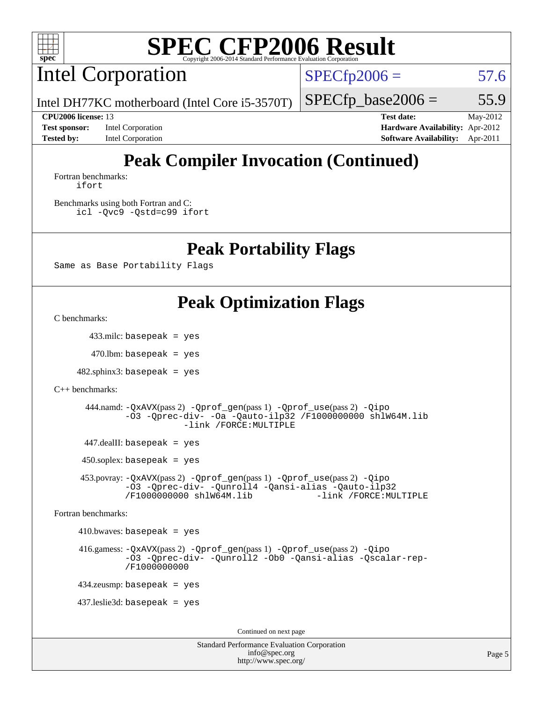

Intel Corporation

 $SPECfp2006 = 57.6$  $SPECfp2006 = 57.6$ 

Intel DH77KC motherboard (Intel Core i5-3570T)

**[Test sponsor:](http://www.spec.org/auto/cpu2006/Docs/result-fields.html#Testsponsor)** Intel Corporation **[Hardware Availability:](http://www.spec.org/auto/cpu2006/Docs/result-fields.html#HardwareAvailability)** Apr-2012 **[Tested by:](http://www.spec.org/auto/cpu2006/Docs/result-fields.html#Testedby)** Intel Corporation **[Software Availability:](http://www.spec.org/auto/cpu2006/Docs/result-fields.html#SoftwareAvailability)** Apr-2011

 $SPECTp\_base2006 = 55.9$ **[CPU2006 license:](http://www.spec.org/auto/cpu2006/Docs/result-fields.html#CPU2006license)** 13 **[Test date:](http://www.spec.org/auto/cpu2006/Docs/result-fields.html#Testdate)** May-2012

# **[Peak Compiler Invocation \(Continued\)](http://www.spec.org/auto/cpu2006/Docs/result-fields.html#PeakCompilerInvocation)**

[Fortran benchmarks](http://www.spec.org/auto/cpu2006/Docs/result-fields.html#Fortranbenchmarks): [ifort](http://www.spec.org/cpu2006/results/res2012q3/cpu2006-20120702-23386.flags.html#user_FCpeak_intel_ifort_8a5e5e06b19a251bdeaf8fdab5d62f20)

[Benchmarks using both Fortran and C](http://www.spec.org/auto/cpu2006/Docs/result-fields.html#BenchmarksusingbothFortranandC): [icl -Qvc9](http://www.spec.org/cpu2006/results/res2012q3/cpu2006-20120702-23386.flags.html#user_CC_FCpeak_intel_icc_vc9_6b5741b4033b9dc48df324263d9561bc) [-Qstd=c99](http://www.spec.org/cpu2006/results/res2012q3/cpu2006-20120702-23386.flags.html#user_CC_FCpeak_intel_compiler_c99_mode_1a3d110e3041b3ad4466830521bdad2a) [ifort](http://www.spec.org/cpu2006/results/res2012q3/cpu2006-20120702-23386.flags.html#user_CC_FCpeak_intel_ifort_8a5e5e06b19a251bdeaf8fdab5d62f20)

### **[Peak Portability Flags](http://www.spec.org/auto/cpu2006/Docs/result-fields.html#PeakPortabilityFlags)**

Same as Base Portability Flags

### **[Peak Optimization Flags](http://www.spec.org/auto/cpu2006/Docs/result-fields.html#PeakOptimizationFlags)**

[C benchmarks](http://www.spec.org/auto/cpu2006/Docs/result-fields.html#Cbenchmarks):

433.milc: basepeak = yes

 $470$ .lbm: basepeak = yes

 $482$ .sphinx $3$ : basepeak = yes

[C++ benchmarks:](http://www.spec.org/auto/cpu2006/Docs/result-fields.html#CXXbenchmarks)

```
 444.namd: -QxAVX(pass 2) -Qprof_gen(pass 1) -Qprof_use(pass 2) -Qipo
-O3 -Qprec-div- -Oa -Qauto-ilp32 /F1000000000 shlW64M.lib
             -link /FORCE:MULTIPLE
```
447.dealII: basepeak = yes

 $450$ .soplex: basepeak = yes

 453.povray: [-QxAVX](http://www.spec.org/cpu2006/results/res2012q3/cpu2006-20120702-23386.flags.html#user_peakPASS2_CXXFLAGSPASS2_LDFLAGS453_povray_f-QxAVX)(pass 2) [-Qprof\\_gen](http://www.spec.org/cpu2006/results/res2012q3/cpu2006-20120702-23386.flags.html#user_peakPASS1_CXXFLAGSPASS1_LDFLAGS453_povray_Qprof_gen)(pass 1) [-Qprof\\_use](http://www.spec.org/cpu2006/results/res2012q3/cpu2006-20120702-23386.flags.html#user_peakPASS2_CXXFLAGSPASS2_LDFLAGS453_povray_Qprof_use)(pass 2) [-Qipo](http://www.spec.org/cpu2006/results/res2012q3/cpu2006-20120702-23386.flags.html#user_peakOPTIMIZE453_povray_f-Qipo) [-O3](http://www.spec.org/cpu2006/results/res2012q3/cpu2006-20120702-23386.flags.html#user_peakOPTIMIZE453_povray_f-O3) [-Qprec-div-](http://www.spec.org/cpu2006/results/res2012q3/cpu2006-20120702-23386.flags.html#user_peakOPTIMIZE453_povray_f-Qprec-div-) [-Qunroll4](http://www.spec.org/cpu2006/results/res2012q3/cpu2006-20120702-23386.flags.html#user_peakOPTIMIZE453_povray_f-Qunroll_013b1c0ea3aa84ef2c65e488bcc3d968) [-Qansi-alias](http://www.spec.org/cpu2006/results/res2012q3/cpu2006-20120702-23386.flags.html#user_peakOPTIMIZE453_povray_f-Qansi-alias) [-Qauto-ilp32](http://www.spec.org/cpu2006/results/res2012q3/cpu2006-20120702-23386.flags.html#user_peakCXXOPTIMIZE453_povray_f-Qauto-ilp32) [/F1000000000](http://www.spec.org/cpu2006/results/res2012q3/cpu2006-20120702-23386.flags.html#user_peakEXTRA_LDFLAGS453_povray_set_stack_space_25d7749c1988d91b7f93afbc0ec53727) [shlW64M.lib](http://www.spec.org/cpu2006/results/res2012q3/cpu2006-20120702-23386.flags.html#user_peakEXTRA_LIBS453_povray_SmartHeap64_c4f7f76711bdf8c0633a5c1edf6e5396)

[Fortran benchmarks](http://www.spec.org/auto/cpu2006/Docs/result-fields.html#Fortranbenchmarks):

 $410.bwaves: basepeak = yes$ 

 416.gamess: [-QxAVX](http://www.spec.org/cpu2006/results/res2012q3/cpu2006-20120702-23386.flags.html#user_peakPASS2_FFLAGSPASS2_LDFLAGS416_gamess_f-QxAVX)(pass 2) [-Qprof\\_gen](http://www.spec.org/cpu2006/results/res2012q3/cpu2006-20120702-23386.flags.html#user_peakPASS1_FFLAGSPASS1_LDFLAGS416_gamess_Qprof_gen)(pass 1) [-Qprof\\_use](http://www.spec.org/cpu2006/results/res2012q3/cpu2006-20120702-23386.flags.html#user_peakPASS2_FFLAGSPASS2_LDFLAGS416_gamess_Qprof_use)(pass 2) [-Qipo](http://www.spec.org/cpu2006/results/res2012q3/cpu2006-20120702-23386.flags.html#user_peakOPTIMIZE416_gamess_f-Qipo) [-O3](http://www.spec.org/cpu2006/results/res2012q3/cpu2006-20120702-23386.flags.html#user_peakOPTIMIZE416_gamess_f-O3) [-Qprec-div-](http://www.spec.org/cpu2006/results/res2012q3/cpu2006-20120702-23386.flags.html#user_peakOPTIMIZE416_gamess_f-Qprec-div-) [-Qunroll2](http://www.spec.org/cpu2006/results/res2012q3/cpu2006-20120702-23386.flags.html#user_peakOPTIMIZE416_gamess_f-Qunroll_1d9456aa650e77fc2a0cf43cef3fa08c) [-Ob0](http://www.spec.org/cpu2006/results/res2012q3/cpu2006-20120702-23386.flags.html#user_peakOPTIMIZE416_gamess_f-Ob_n_fbe6f6428adb7d4b74b1e99bb2444c2d) [-Qansi-alias](http://www.spec.org/cpu2006/results/res2012q3/cpu2006-20120702-23386.flags.html#user_peakOPTIMIZE416_gamess_f-Qansi-alias) [-Qscalar-rep-](http://www.spec.org/cpu2006/results/res2012q3/cpu2006-20120702-23386.flags.html#user_peakOPTIMIZE416_gamess_f-Qscalar-rep_02cb9e11a5340d80ab3062d84e5dfb2e) [/F1000000000](http://www.spec.org/cpu2006/results/res2012q3/cpu2006-20120702-23386.flags.html#user_peakEXTRA_LDFLAGS416_gamess_set_stack_space_25d7749c1988d91b7f93afbc0ec53727)

434.zeusmp: basepeak = yes

437.leslie3d: basepeak = yes

Continued on next page